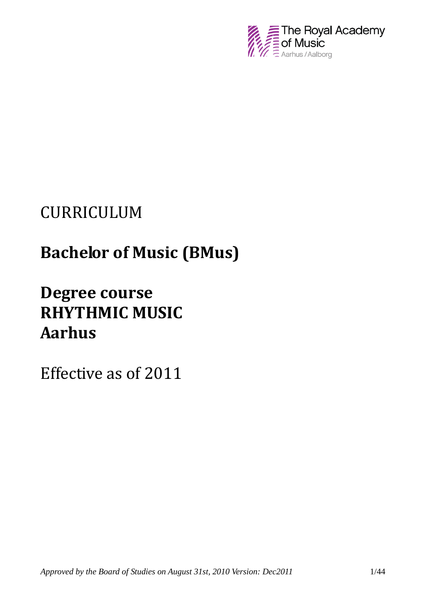

# CURRICULUM

# **Bachelor of Music (BMus)**

# **Degree course RHYTHMIC MUSIC Aarhus**

Effective as of 2011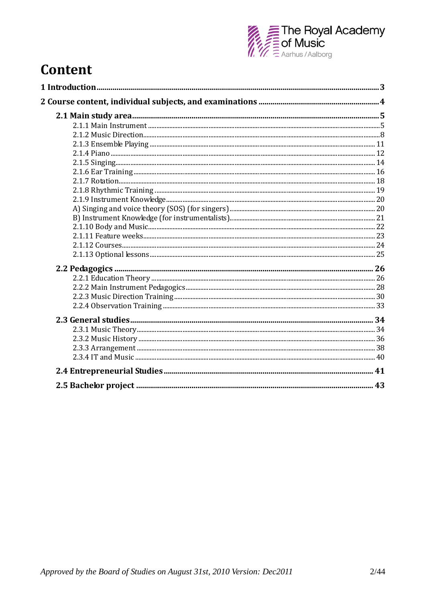

# Content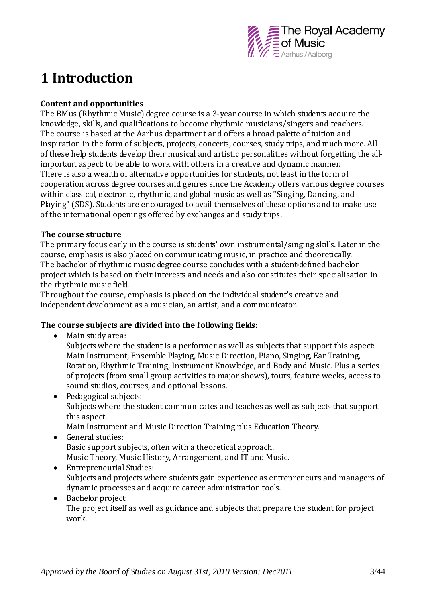

# **1 Introduction**

#### **Content and opportunities**

The BMus (Rhythmic Music) degree course is a 3-year course in which students acquire the knowledge, skills, and qualifications to become rhythmic musicians/singers and teachers. The course is based at the Aarhus department and offers a broad palette of tuition and inspiration in the form of subjects, projects, concerts, courses, study trips, and much more. All of these help students develop their musical and artistic personalities without forgetting the allimportant aspect: to be able to work with others in a creative and dynamic manner. There is also a wealth of alternative opportunities for students, not least in the form of cooperation across degree courses and genres since the Academy offers various degree courses within classical, electronic, rhythmic, and global music as well as "Singing, Dancing, and Playing" (SDS). Students are encouraged to avail themselves of these options and to make use of the international openings offered by exchanges and study trips.

#### **The course structure**

The primary focus early in the course is students' own instrumental/singing skills. Later in the course, emphasis is also placed on communicating music, in practice and theoretically. The bachelor of rhythmic music degree course concludes with a student-defined bachelor project which is based on their interests and needs and also constitutes their specialisation in the rhythmic music field.

Throughout the course, emphasis is placed on the individual student's creative and independent development as a musician, an artist, and a communicator.

#### **The course subjects are divided into the following fields:**

• Main study area:

Subjects where the student is a performer as well as subjects that support this aspect: Main Instrument, Ensemble Playing, Music Direction, Piano, Singing, Ear Training, Rotation, Rhythmic Training, Instrument Knowledge, and Body and Music. Plus a series of projects (from small group activities to major shows), tours, feature weeks, access to sound studios, courses, and optional lessons.

• Pedagogical subjects: Subjects where the student communicates and teaches as well as subjects that support this aspect.

Main Instrument and Music Direction Training plus Education Theory.

- General studies: Basic support subjects, often with a theoretical approach. Music Theory, Music History, Arrangement, and IT and Music.
- Entrepreneurial Studies: Subjects and projects where students gain experience as entrepreneurs and managers of dynamic processes and acquire career administration tools.
- Bachelor project: The project itself as well as guidance and subjects that prepare the student for project work.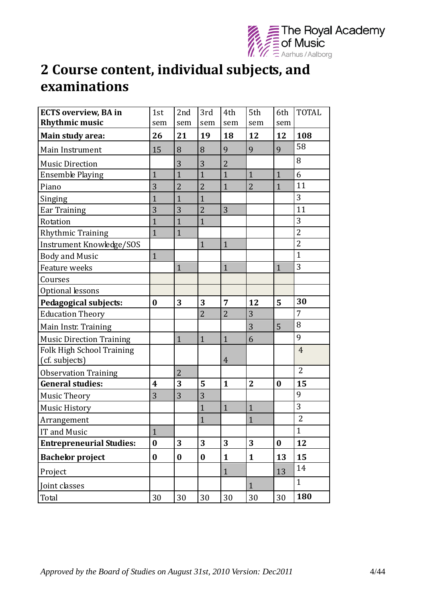

# **2 Course content, individual subjects, and examinations**

| <b>ECTS overview, BA in</b><br><b>Rhythmic music</b> | 1st<br>sem       | 2nd<br>sem       | 3rd<br>sem       | 4th<br>sem     | 5th<br>sem     | 6th<br>sem       | <b>TOTAL</b>   |
|------------------------------------------------------|------------------|------------------|------------------|----------------|----------------|------------------|----------------|
| Main study area:                                     | 26               | 21               | 19               | 18             | 12             | 12               | 108            |
| Main Instrument                                      | 15               | 8                | 8                | 9              | 9              | 9                | 58             |
| <b>Music Direction</b>                               |                  | 3                | 3                | $\overline{2}$ |                |                  | 8              |
| <b>Ensemble Playing</b>                              | $\mathbf{1}$     | $\mathbf{1}$     | $\overline{1}$   | $\mathbf{1}$   | $\mathbf{1}$   | $\mathbf{1}$     | 6              |
| Piano                                                | 3                | $\overline{2}$   | $\overline{2}$   | $\mathbf{1}$   | $\overline{2}$ | $\mathbf{1}$     | 11             |
| Singing                                              | $\overline{1}$   | $\mathbf{1}$     | $\mathbf{1}$     |                |                |                  | 3              |
| <b>Ear Training</b>                                  | 3                | 3                | $\overline{2}$   | 3              |                |                  | 11             |
| Rotation                                             | $\overline{1}$   | $\mathbf{1}$     | $\mathbf{1}$     |                |                |                  | 3              |
| Rhythmic Training                                    | $\mathbf{1}$     | $\mathbf{1}$     |                  |                |                |                  | $\overline{2}$ |
| Instrument Knowledge/SOS                             |                  |                  | $\mathbf{1}$     | $\mathbf{1}$   |                |                  | $\overline{2}$ |
| <b>Body and Music</b>                                | $\mathbf{1}$     |                  |                  |                |                |                  | $\mathbf{1}$   |
| Feature weeks                                        |                  | $\mathbf{1}$     |                  | $\mathbf{1}$   |                | $\mathbf{1}$     | 3              |
| Courses                                              |                  |                  |                  |                |                |                  |                |
| Optional lessons                                     |                  |                  |                  |                |                |                  |                |
| Pedagogical subjects:                                | $\bf{0}$         | 3                | 3                | 7              | 12             | 5                | 30             |
| <b>Education Theory</b>                              |                  |                  | $\overline{2}$   | $\overline{2}$ | 3              |                  | 7              |
| Main Instr. Training                                 |                  |                  |                  |                | 3              | 5                | 8              |
| <b>Music Direction Training</b>                      |                  | $\mathbf{1}$     | $\mathbf{1}$     | $\mathbf{1}$   | 6              |                  | 9              |
| Folk High School Training<br>(cf. subjects)          |                  |                  |                  | $\overline{4}$ |                |                  | $\overline{4}$ |
| <b>Observation Training</b>                          |                  | $\overline{2}$   |                  |                |                |                  | $\overline{2}$ |
| <b>General studies:</b>                              | $\boldsymbol{4}$ | 3                | 5                | $\mathbf{1}$   | $\overline{2}$ | $\bf{0}$         | 15             |
| <b>Music Theory</b>                                  | 3                | 3                | 3                |                |                |                  | 9              |
| <b>Music History</b>                                 |                  |                  | $\mathbf{1}$     | $\mathbf{1}$   | $\mathbf{1}$   |                  | 3              |
| Arrangement                                          |                  |                  | $\mathbf{1}$     |                | $\mathbf{1}$   |                  | $\overline{2}$ |
| IT and Music                                         | $\mathbf{1}$     |                  |                  |                |                |                  | $\mathbf{1}$   |
| <b>Entrepreneurial Studies:</b>                      | $\bf{0}$         | 3                | 3                | 3              | 3              | $\boldsymbol{0}$ | 12             |
| <b>Bachelor project</b>                              | $\boldsymbol{0}$ | $\boldsymbol{0}$ | $\boldsymbol{0}$ | $\mathbf{1}$   | $\mathbf{1}$   | 13               | 15             |
| Project                                              |                  |                  |                  | $\mathbf{1}$   |                | 13               | 14             |
| Joint classes                                        |                  |                  |                  |                | $\mathbf{1}$   |                  | $\mathbf{1}$   |
| Total                                                | 30               | 30               | 30               | 30             | 30             | 30               | 180            |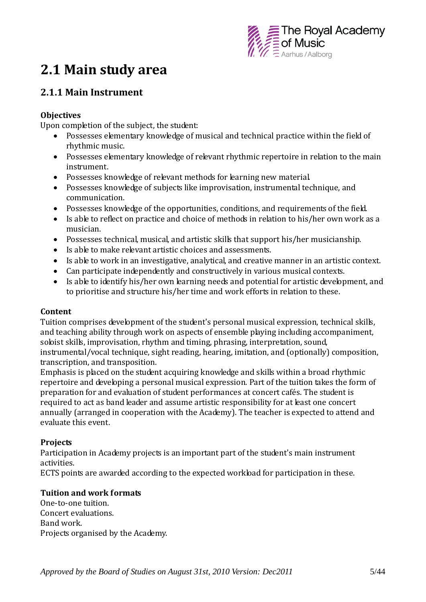

# **2.1 Main study area**

# **2.1.1 Main Instrument**

#### **Objectives**

Upon completion of the subject, the student:

- Possesses elementary knowledge of musical and technical practice within the field of rhythmic music.
- Possesses elementary knowledge of relevant rhythmic repertoire in relation to the main instrument.
- Possesses knowledge of relevant methods for learning new material.
- Possesses knowledge of subjects like improvisation, instrumental technique, and communication.
- Possesses knowledge of the opportunities, conditions, and requirements of the field.
- Is able to reflect on practice and choice of methods in relation to his/her own work as a musician.
- Possesses technical, musical, and artistic skills that support his/her musicianship.
- Is able to make relevant artistic choices and assessments.
- Is able to work in an investigative, analytical, and creative manner in an artistic context.
- Can participate independently and constructively in various musical contexts.
- Is able to identify his/her own learning needs and potential for artistic development, and to prioritise and structure his/her time and work efforts in relation to these.

#### **Content**

Tuition comprises development of the student's personal musical expression, technical skills, and teaching ability through work on aspects of ensemble playing including accompaniment, soloist skills, improvisation, rhythm and timing, phrasing, interpretation, sound, instrumental/vocal technique, sight reading, hearing, imitation, and (optionally) composition, transcription, and transposition.

Emphasis is placed on the student acquiring knowledge and skills within a broad rhythmic repertoire and developing a personal musical expression. Part of the tuition takes the form of preparation for and evaluation of student performances at concert cafés. The student is required to act as band leader and assume artistic responsibility for at least one concert annually (arranged in cooperation with the Academy). The teacher is expected to attend and evaluate this event.

#### **Projects**

Participation in Academy projects is an important part of the student's main instrument activities.

ECTS points are awarded according to the expected workload for participation in these.

#### **Tuition and work formats**

One-to-one tuition. Concert evaluations. Band work. Projects organised by the Academy.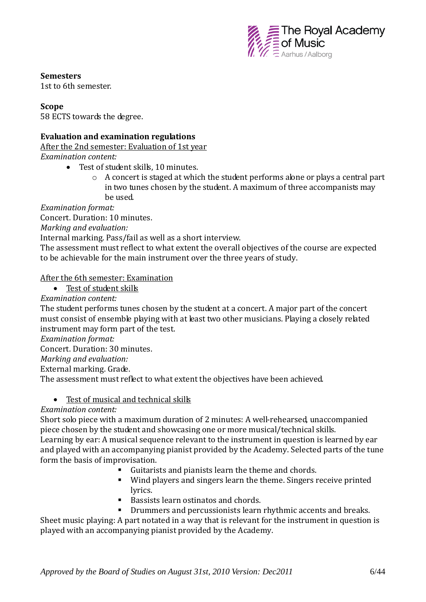

**Semesters**

1st to 6th semester.

#### **Scope**

58 ECTS towards the degree.

#### **Evaluation and examination regulations**

After the 2nd semester: Evaluation of 1st year

*Examination content:*

- Test of student skills, 10 minutes.
	- o A concert is staged at which the student performs alone or plays a central part in two tunes chosen by the student. A maximum of three accompanists may be used.

*Examination format:* 

Concert. Duration: 10 minutes.

*Marking and evaluation:*

Internal marking. Pass/fail as well as a short interview.

The assessment must reflect to what extent the overall objectives of the course are expected to be achievable for the main instrument over the three years of study.

#### After the 6th semester: Examination

Test of student skills

*Examination content:*

The student performs tunes chosen by the student at a concert. A major part of the concert must consist of ensemble playing with at least two other musicians. Playing a closely related instrument may form part of the test.

*Examination format:*

Concert. Duration: 30 minutes.

*Marking and evaluation:*

External marking. Grade.

The assessment must reflect to what extent the objectives have been achieved.

#### • Test of musical and technical skills

#### *Examination content:*

Short solo piece with a maximum duration of 2 minutes: A well-rehearsed, unaccompanied piece chosen by the student and showcasing one or more musical/technical skills. Learning by ear: A musical sequence relevant to the instrument in question is learned by ear and played with an accompanying pianist provided by the Academy. Selected parts of the tune form the basis of improvisation.

- Guitarists and pianists learn the theme and chords.
- Wind players and singers learn the theme. Singers receive printed lyrics.
- Bassists learn ostinatos and chords
- Drummers and percussionists learn rhythmic accents and breaks.

Sheet music playing: A part notated in a way that is relevant for the instrument in question is played with an accompanying pianist provided by the Academy.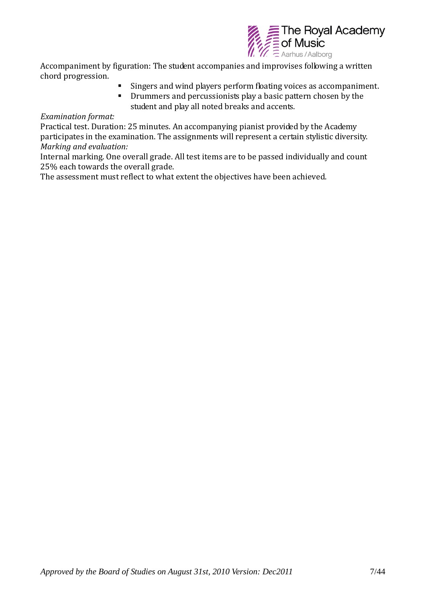

Accompaniment by figuration: The student accompanies and improvises following a written chord progression.

- Singers and wind players perform floating voices as accompaniment.
- **•** Drummers and percussionists play a basic pattern chosen by the student and play all noted breaks and accents.

#### *Examination format:*

Practical test. Duration: 25 minutes. An accompanying pianist provided by the Academy participates in the examination. The assignments will represent a certain stylistic diversity. *Marking and evaluation:*

Internal marking. One overall grade. All test items are to be passed individually and count 25% each towards the overall grade.

The assessment must reflect to what extent the objectives have been achieved.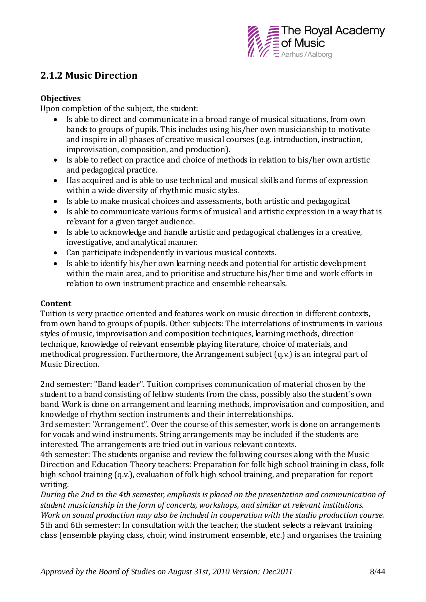

# **2.1.2 Music Direction**

#### **Objectives**

Upon completion of the subject, the student:

- Is able to direct and communicate in a broad range of musical situations, from own bands to groups of pupils. This includes using his/her own musicianship to motivate and inspire in all phases of creative musical courses (e.g. introduction, instruction, improvisation, composition, and production).
- Is able to reflect on practice and choice of methods in relation to his/her own artistic and pedagogical practice.
- Has acquired and is able to use technical and musical skills and forms of expression within a wide diversity of rhythmic music styles.
- Is able to make musical choices and assessments, both artistic and pedagogical.
- Is able to communicate various forms of musical and artistic expression in a way that is relevant for a given target audience.
- Is able to acknowledge and handle artistic and pedagogical challenges in a creative, investigative, and analytical manner.
- Can participate independently in various musical contexts.
- Is able to identify his/her own learning needs and potential for artistic development within the main area, and to prioritise and structure his/her time and work efforts in relation to own instrument practice and ensemble rehearsals.

#### **Content**

Tuition is very practice oriented and features work on music direction in different contexts, from own band to groups of pupils. Other subjects: The interrelations of instruments in various styles of music, improvisation and composition techniques, learning methods, direction technique, knowledge of relevant ensemble playing literature, choice of materials, and methodical progression. Furthermore, the Arrangement subject (q.v.) is an integral part of Music Direction.

2nd semester: "Band leader". Tuition comprises communication of material chosen by the student to a band consisting of fellow students from the class, possibly also the student's own band. Work is done on arrangement and learning methods, improvisation and composition, and knowledge of rhythm section instruments and their interrelationships.

3rd semester: "Arrangement". Over the course of this semester, work is done on arrangements for vocals and wind instruments. String arrangements may be included if the students are interested. The arrangements are tried out in various relevant contexts.

4th semester: The students organise and review the following courses along with the Music Direction and Education Theory teachers: Preparation for folk high school training in class, folk high school training (q.v.), evaluation of folk high school training, and preparation for report writing.

*During the 2nd to the 4th semester, emphasis is placed on the presentation and communication of student musicianship in the form of concerts, workshops, and similar at relevant institutions. Work on sound production may also be included in cooperation with the studio production course.* 5th and 6th semester: In consultation with the teacher, the student selects a relevant training class (ensemble playing class, choir, wind instrument ensemble, etc.) and organises the training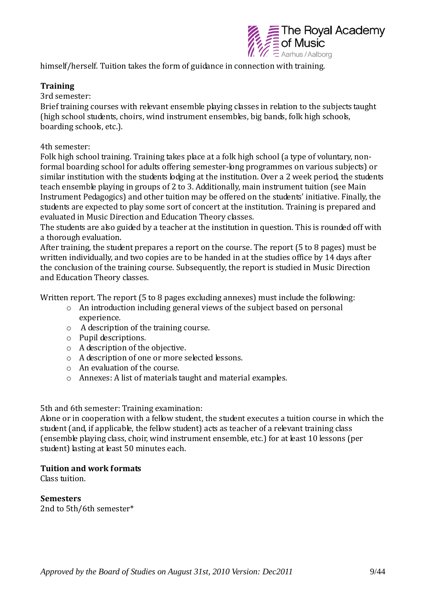

himself/herself. Tuition takes the form of guidance in connection with training.

#### **Training**

3rd semester:

Brief training courses with relevant ensemble playing classes in relation to the subjects taught (high school students, choirs, wind instrument ensembles, big bands, folk high schools, boarding schools, etc.).

#### 4th semester:

Folk high school training. Training takes place at a folk high school (a type of voluntary, nonformal boarding school for adults offering semester-long programmes on various subjects) or similar institution with the students lodging at the institution. Over a 2 week period, the students teach ensemble playing in groups of 2 to 3. Additionally, main instrument tuition (see Main Instrument Pedagogics) and other tuition may be offered on the students' initiative. Finally, the students are expected to play some sort of concert at the institution. Training is prepared and evaluated in Music Direction and Education Theory classes.

The students are also guided by a teacher at the institution in question. This is rounded off with a thorough evaluation.

After training, the student prepares a report on the course. The report (5 to 8 pages) must be written individually, and two copies are to be handed in at the studies office by 14 days after the conclusion of the training course. Subsequently, the report is studied in Music Direction and Education Theory classes.

Written report. The report (5 to 8 pages excluding annexes) must include the following:

- o An introduction including general views of the subject based on personal experience.
- o A description of the training course.
- o Pupil descriptions.
- o A description of the objective.
- o A description of one or more selected lessons.
- o An evaluation of the course.
- o Annexes: A list of materials taught and material examples.

#### 5th and 6th semester: Training examination:

Alone or in cooperation with a fellow student, the student executes a tuition course in which the student (and, if applicable, the fellow student) acts as teacher of a relevant training class (ensemble playing class, choir, wind instrument ensemble, etc.) for at least 10 lessons (per student) lasting at least 50 minutes each.

#### **Tuition and work formats**

Class tuition.

**Semesters** 2nd to 5th/6th semester\*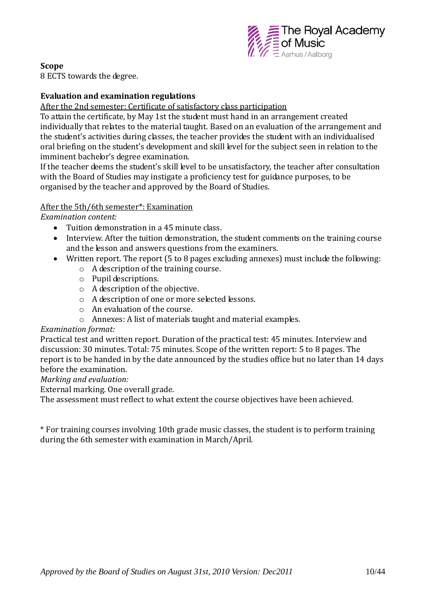

#### **Scope**

8 ECTS towards the degree.

#### **Evaluation and examination regulations**

After the 2nd semester: Certificate of satisfactory class participation

To attain the certificate, by May 1st the student must hand in an arrangement created individually that relates to the material taught. Based on an evaluation of the arrangement and the student's activities during classes, the teacher provides the student with an individualised oral briefing on the student's development and skill level for the subject seen in relation to the imminent bachelor's degree examination.

If the teacher deems the student's skill level to be unsatisfactory, the teacher after consultation with the Board of Studies may instigate a proficiency test for guidance purposes, to be organised by the teacher and approved by the Board of Studies.

#### After the 5th/6th semester\*: Examination

*Examination content:*

- Tuition demonstration in a 45 minute class.
- Interview. After the tuition demonstration, the student comments on the training course and the lesson and answers questions from the examiners.
- Written report. The report (5 to 8 pages excluding annexes) must include the following:
	- o A description of the training course.
	- o Pupil descriptions.
	- o A description of the objective.
	- o A description of one or more selected lessons.
	- o An evaluation of the course.
	- o Annexes: A list of materials taught and material examples.

#### *Examination format:*

Practical test and written report. Duration of the practical test: 45 minutes. Interview and discussion: 30 minutes. Total: 75 minutes. Scope of the written report: 5 to 8 pages. The report is to be handed in by the date announced by the studies office but no later than 14 days before the examination.

#### *Marking and evaluation:*

External marking. One overall grade.

The assessment must reflect to what extent the course objectives have been achieved.

\* For training courses involving 10th grade music classes, the student is to perform training during the 6th semester with examination in March/April.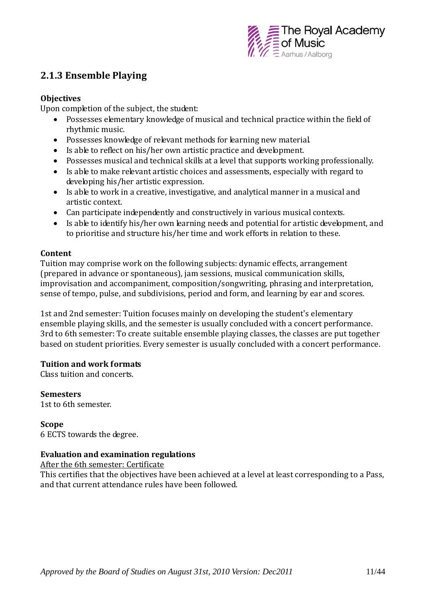

## **2.1.3 Ensemble Playing**

#### **Objectives**

Upon completion of the subject, the student:

- Possesses elementary knowledge of musical and technical practice within the field of rhythmic music.
- Possesses knowledge of relevant methods for learning new material.
- Is able to reflect on his/her own artistic practice and development.
- Possesses musical and technical skills at a level that supports working professionally.
- Is able to make relevant artistic choices and assessments, especially with regard to developing his/her artistic expression.
- Is able to work in a creative, investigative, and analytical manner in a musical and artistic context.
- Can participate independently and constructively in various musical contexts.
- Is able to identify his/her own learning needs and potential for artistic development, and to prioritise and structure his/her time and work efforts in relation to these.

#### **Content**

Tuition may comprise work on the following subjects: dynamic effects, arrangement (prepared in advance or spontaneous), jam sessions, musical communication skills, improvisation and accompaniment, composition/songwriting, phrasing and interpretation, sense of tempo, pulse, and subdivisions, period and form, and learning by ear and scores.

1st and 2nd semester: Tuition focuses mainly on developing the student's elementary ensemble playing skills, and the semester is usually concluded with a concert performance. 3rd to 6th semester: To create suitable ensemble playing classes, the classes are put together based on student priorities. Every semester is usually concluded with a concert performance.

#### **Tuition and work formats**

Class tuition and concerts.

**Semesters** 1st to 6th semester.

**Scope** 6 ECTS towards the degree.

#### **Evaluation and examination regulations**

After the 6th semester: Certificate

This certifies that the objectives have been achieved at a level at least corresponding to a Pass, and that current attendance rules have been followed.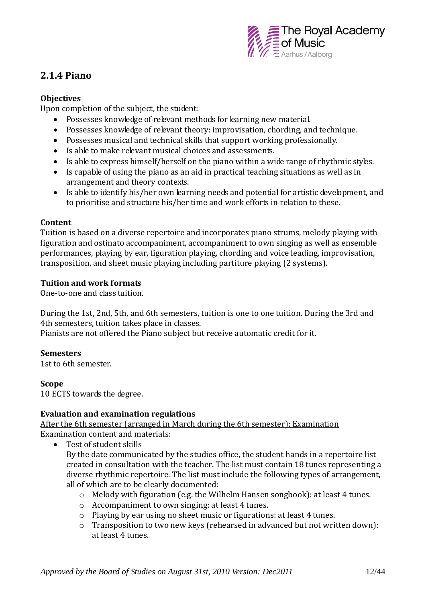

# **2.1.4 Piano**

#### **Objectives**

Upon completion of the subject, the student:

- Possesses knowledge of relevant methods for learning new material.
- Possesses knowledge of relevant theory: improvisation, chording, and technique.
- Possesses musical and technical skills that support working professionally.
- Is able to make relevant musical choices and assessments.
- Is able to express himself/herself on the piano within a wide range of rhythmic styles.
- Is capable of using the piano as an aid in practical teaching situations as well as in arrangement and theory contexts.
- Is able to identify his/her own learning needs and potential for artistic development, and to prioritise and structure his/her time and work efforts in relation to these.

#### **Content**

Tuition is based on a diverse repertoire and incorporates piano strums, melody playing with figuration and ostinato accompaniment, accompaniment to own singing as well as ensemble performances, playing by ear, figuration playing, chording and voice leading, improvisation, transposition, and sheet music playing including partiture playing (2 systems).

#### **Tuition and work formats**

One-to-one and class tuition.

During the 1st, 2nd, 5th, and 6th semesters, tuition is one to one tuition. During the 3rd and 4th semesters, tuition takes place in classes.

Pianists are not offered the Piano subject but receive automatic credit for it.

#### **Semesters**

1st to 6th semester.

#### **Scope**

10 ECTS towards the degree.

#### **Evaluation and examination regulations**

After the 6th semester (arranged in March during the 6th semester): Examination Examination content and materials:

Test of student skills

By the date communicated by the studies office, the student hands in a repertoire list created in consultation with the teacher. The list must contain 18 tunes representing a diverse rhythmic repertoire. The list must include the following types of arrangement, all of which are to be clearly documented:

- o Melody with figuration (e.g. the Wilhelm Hansen songbook): at least 4 tunes.
- o Accompaniment to own singing: at least 4 tunes.
- o Playing by ear using no sheet music or figurations: at least 4 tunes.
- o Transposition to two new keys (rehearsed in advanced but not written down): at least 4 tunes.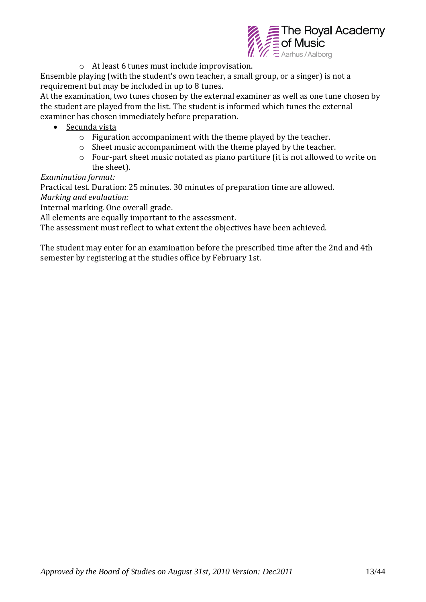

o At least 6 tunes must include improvisation.

Ensemble playing (with the student's own teacher, a small group, or a singer) is not a requirement but may be included in up to 8 tunes.

At the examination, two tunes chosen by the external examiner as well as one tune chosen by the student are played from the list. The student is informed which tunes the external examiner has chosen immediately before preparation.

- Secunda vista
	- o Figuration accompaniment with the theme played by the teacher.
	- o Sheet music accompaniment with the theme played by the teacher.
	- o Four-part sheet music notated as piano partiture (it is not allowed to write on the sheet).

*Examination format:*

Practical test. Duration: 25 minutes. 30 minutes of preparation time are allowed.

*Marking and evaluation:* 

Internal marking. One overall grade.

All elements are equally important to the assessment.

The assessment must reflect to what extent the objectives have been achieved.

The student may enter for an examination before the prescribed time after the 2nd and 4th semester by registering at the studies office by February 1st.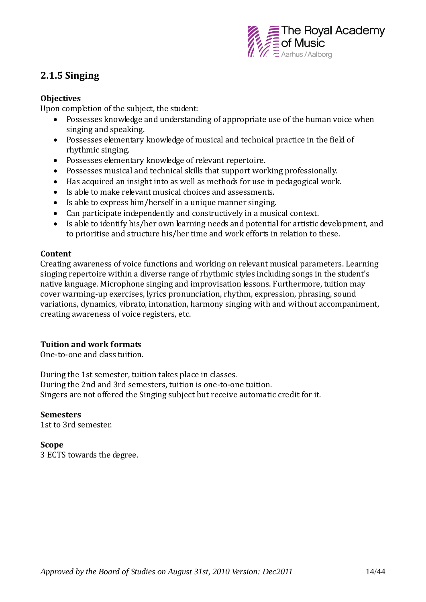

# **2.1.5 Singing**

#### **Objectives**

Upon completion of the subject, the student:

- Possesses knowledge and understanding of appropriate use of the human voice when singing and speaking.
- Possesses elementary knowledge of musical and technical practice in the field of rhythmic singing.
- Possesses elementary knowledge of relevant repertoire.
- Possesses musical and technical skills that support working professionally.
- Has acquired an insight into as well as methods for use in pedagogical work.
- Is able to make relevant musical choices and assessments.
- Is able to express him/herself in a unique manner singing.
- Can participate independently and constructively in a musical context.
- Is able to identify his/her own learning needs and potential for artistic development, and to prioritise and structure his/her time and work efforts in relation to these.

#### **Content**

Creating awareness of voice functions and working on relevant musical parameters. Learning singing repertoire within a diverse range of rhythmic styles including songs in the student's native language. Microphone singing and improvisation lessons. Furthermore, tuition may cover warming-up exercises, lyrics pronunciation, rhythm, expression, phrasing, sound variations, dynamics, vibrato, intonation, harmony singing with and without accompaniment, creating awareness of voice registers, etc.

#### **Tuition and work formats**

One-to-one and class tuition.

During the 1st semester, tuition takes place in classes. During the 2nd and 3rd semesters, tuition is one-to-one tuition. Singers are not offered the Singing subject but receive automatic credit for it.

#### **Semesters**

1st to 3rd semester.

#### **Scope**

3 ECTS towards the degree.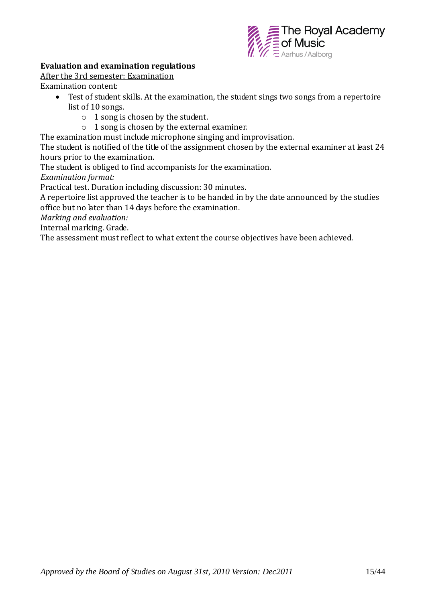

#### **Evaluation and examination regulations**

After the 3rd semester: Examination

Examination content:

- Test of student skills. At the examination, the student sings two songs from a repertoire list of 10 songs.
	- o 1 song is chosen by the student.
	- o 1 song is chosen by the external examiner.

The examination must include microphone singing and improvisation.

The student is notified of the title of the assignment chosen by the external examiner at least 24 hours prior to the examination.

The student is obliged to find accompanists for the examination.

*Examination format:*

Practical test. Duration including discussion: 30 minutes.

A repertoire list approved the teacher is to be handed in by the date announced by the studies office but no later than 14 days before the examination.

*Marking and evaluation:*

Internal marking. Grade.

The assessment must reflect to what extent the course objectives have been achieved.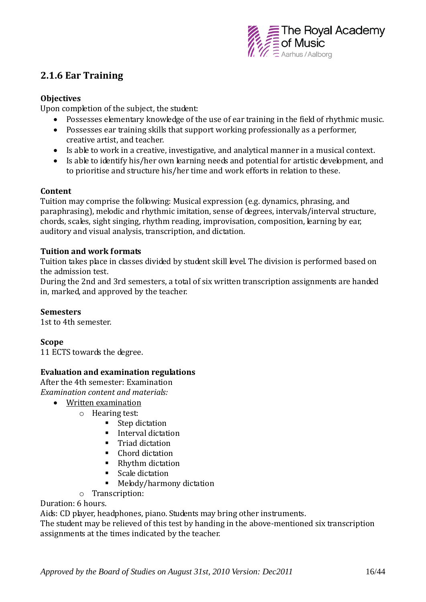

# **2.1.6 Ear Training**

#### **Objectives**

Upon completion of the subject, the student:

- Possesses elementary knowledge of the use of ear training in the field of rhythmic music.
- Possesses ear training skills that support working professionally as a performer, creative artist, and teacher.
- Is able to work in a creative, investigative, and analytical manner in a musical context.
- Is able to identify his/her own learning needs and potential for artistic development, and to prioritise and structure his/her time and work efforts in relation to these.

#### **Content**

Tuition may comprise the following: Musical expression (e.g. dynamics, phrasing, and paraphrasing), melodic and rhythmic imitation, sense of degrees, intervals/interval structure, chords, scales, sight singing, rhythm reading, improvisation, composition, learning by ear, auditory and visual analysis, transcription, and dictation.

#### **Tuition and work formats**

Tuition takes place in classes divided by student skill level. The division is performed based on the admission test.

During the 2nd and 3rd semesters, a total of six written transcription assignments are handed in, marked, and approved by the teacher.

#### **Semesters**

1st to 4th semester.

#### **Scope**

11 ECTS towards the degree.

#### **Evaluation and examination regulations**

After the 4th semester: Examination *Examination content and materials:* 

- Written examination
	- o Hearing test:
		- Step dictation
		- **Interval dictation**
		- **Triad dictation**
		- Chord dictation
		- Rhythm dictation
		- Scale dictation
		- Melody/harmony dictation
		- o Transcription:

#### Duration: 6 hours.

Aids: CD player, headphones, piano. Students may bring other instruments.

The student may be relieved of this test by handing in the above-mentioned six transcription assignments at the times indicated by the teacher.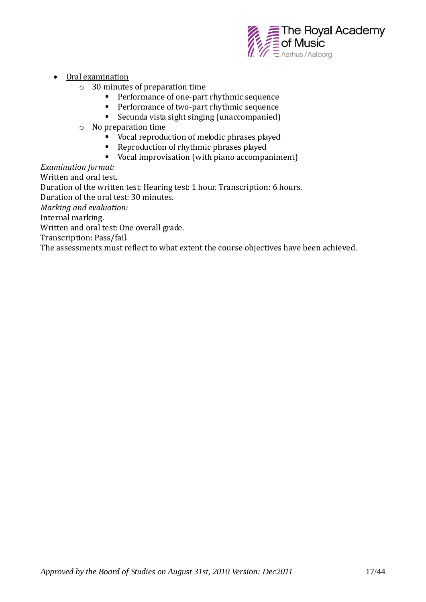

- Oral examination
	- o 30 minutes of preparation time
		- **Performance of one-part rhythmic sequence**
		- **Performance of two-part rhythmic sequence**
		- Secunda vista sight singing (unaccompanied)
	- o No preparation time
		- Vocal reproduction of melodic phrases played
		- Reproduction of rhythmic phrases played
		- Vocal improvisation (with piano accompaniment)

*Examination format:*

Written and oral test.

Duration of the written test: Hearing test: 1 hour. Transcription: 6 hours.

Duration of the oral test: 30 minutes.

*Marking and evaluation:* 

Internal marking.

Written and oral test: One overall grade.

Transcription: Pass/fail.

The assessments must reflect to what extent the course objectives have been achieved.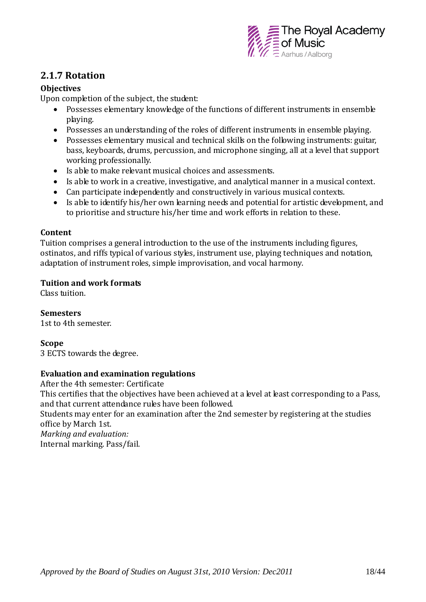

## **2.1.7 Rotation**

#### **Objectives**

Upon completion of the subject, the student:

- Possesses elementary knowledge of the functions of different instruments in ensemble playing.
- Possesses an understanding of the roles of different instruments in ensemble playing.
- Possesses elementary musical and technical skills on the following instruments: guitar, bass, keyboards, drums, percussion, and microphone singing, all at a level that support working professionally.
- Is able to make relevant musical choices and assessments.
- Is able to work in a creative, investigative, and analytical manner in a musical context.
- Can participate independently and constructively in various musical contexts.
- Is able to identify his/her own learning needs and potential for artistic development, and to prioritise and structure his/her time and work efforts in relation to these.

#### **Content**

Tuition comprises a general introduction to the use of the instruments including figures, ostinatos, and riffs typical of various styles, instrument use, playing techniques and notation, adaptation of instrument roles, simple improvisation, and vocal harmony.

#### **Tuition and work formats**

Class tuition.

**Semesters** 1st to 4th semester.

#### **Scope**

3 ECTS towards the degree.

#### **Evaluation and examination regulations**

After the 4th semester: Certificate This certifies that the objectives have been achieved at a level at least corresponding to a Pass, and that current attendance rules have been followed. Students may enter for an examination after the 2nd semester by registering at the studies office by March 1st. *Marking and evaluation:*  Internal marking. Pass/fail.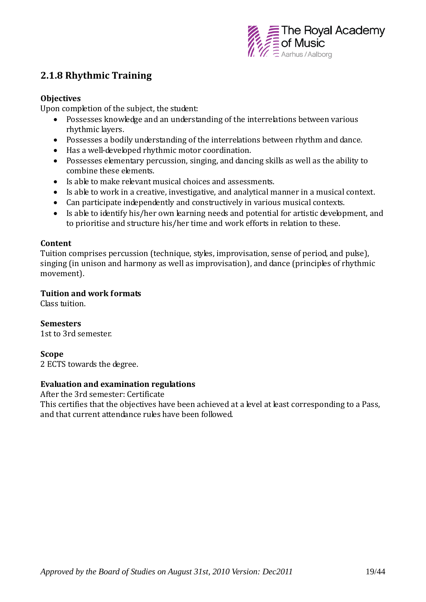

## **2.1.8 Rhythmic Training**

#### **Objectives**

Upon completion of the subject, the student:

- Possesses knowledge and an understanding of the interrelations between various rhythmic layers.
- Possesses a bodily understanding of the interrelations between rhythm and dance.
- Has a well-developed rhythmic motor coordination.
- Possesses elementary percussion, singing, and dancing skills as well as the ability to combine these elements.
- Is able to make relevant musical choices and assessments.
- Is able to work in a creative, investigative, and analytical manner in a musical context.
- Can participate independently and constructively in various musical contexts.
- Is able to identify his/her own learning needs and potential for artistic development, and to prioritise and structure his/her time and work efforts in relation to these.

#### **Content**

Tuition comprises percussion (technique, styles, improvisation, sense of period, and pulse), singing (in unison and harmony as well as improvisation), and dance (principles of rhythmic movement).

#### **Tuition and work formats**

Class tuition.

**Semesters** 1st to 3rd semester.

#### **Scope**

2 ECTS towards the degree.

#### **Evaluation and examination regulations**

After the 3rd semester: Certificate This certifies that the objectives have been achieved at a level at least corresponding to a Pass, and that current attendance rules have been followed.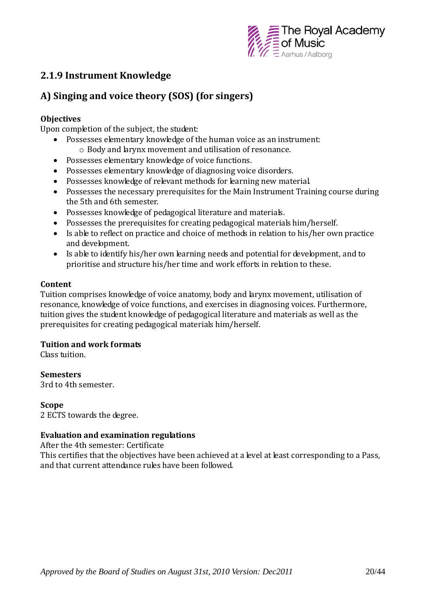

## **2.1.9 Instrument Knowledge**

# **A) Singing and voice theory (SOS) (for singers)**

#### **Objectives**

Upon completion of the subject, the student:

- Possesses elementary knowledge of the human voice as an instrument: o Body and larynx movement and utilisation of resonance.
- Possesses elementary knowledge of voice functions.
- Possesses elementary knowledge of diagnosing voice disorders.
- Possesses knowledge of relevant methods for learning new material.
- Possesses the necessary prerequisites for the Main Instrument Training course during the 5th and 6th semester.
- Possesses knowledge of pedagogical literature and materials.
- Possesses the prerequisites for creating pedagogical materials him/herself.
- Is able to reflect on practice and choice of methods in relation to his/her own practice and development.
- Is able to identify his/her own learning needs and potential for development, and to prioritise and structure his/her time and work efforts in relation to these.

#### **Content**

Tuition comprises knowledge of voice anatomy, body and larynx movement, utilisation of resonance, knowledge of voice functions, and exercises in diagnosing voices. Furthermore, tuition gives the student knowledge of pedagogical literature and materials as well as the prerequisites for creating pedagogical materials him/herself.

#### **Tuition and work formats**

Class tuition.

**Semesters**

3rd to 4th semester.

#### **Scope**

2 ECTS towards the degree.

#### **Evaluation and examination regulations**

After the 4th semester: Certificate

This certifies that the objectives have been achieved at a level at least corresponding to a Pass, and that current attendance rules have been followed.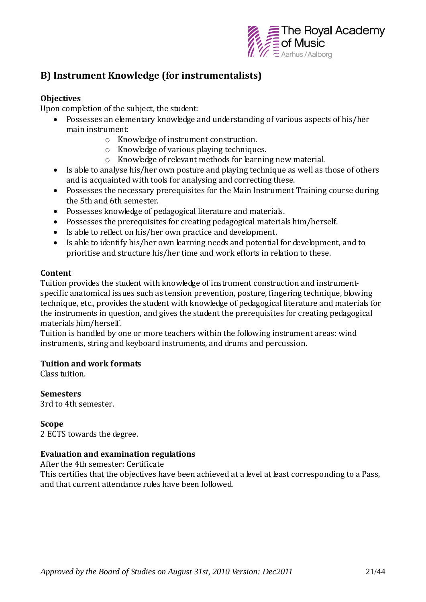

# **B) Instrument Knowledge (for instrumentalists)**

#### **Objectives**

Upon completion of the subject, the student:

- Possesses an elementary knowledge and understanding of various aspects of his/her main instrument:
	- o Knowledge of instrument construction.
	- o Knowledge of various playing techniques.
	- o Knowledge of relevant methods for learning new material.
- Is able to analyse his/her own posture and playing technique as well as those of others and is acquainted with tools for analysing and correcting these.
- Possesses the necessary prerequisites for the Main Instrument Training course during the 5th and 6th semester.
- Possesses knowledge of pedagogical literature and materials.
- Possesses the prerequisites for creating pedagogical materials him/herself.
- Is able to reflect on his/her own practice and development.
- Is able to identify his/her own learning needs and potential for development, and to prioritise and structure his/her time and work efforts in relation to these.

#### **Content**

Tuition provides the student with knowledge of instrument construction and instrumentspecific anatomical issues such as tension prevention, posture, fingering technique, blowing technique, etc., provides the student with knowledge of pedagogical literature and materials for the instruments in question, and gives the student the prerequisites for creating pedagogical materials him/herself.

Tuition is handled by one or more teachers within the following instrument areas: wind instruments, string and keyboard instruments, and drums and percussion.

#### **Tuition and work formats**

Class tuition.

**Semesters** 3rd to 4th semester.

#### **Scope**

2 ECTS towards the degree.

#### **Evaluation and examination regulations**

After the 4th semester: Certificate

This certifies that the objectives have been achieved at a level at least corresponding to a Pass, and that current attendance rules have been followed.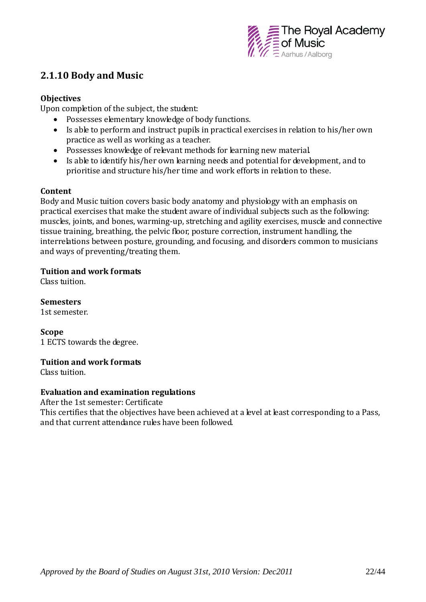

## **2.1.10 Body and Music**

#### **Objectives**

Upon completion of the subject, the student:

- Possesses elementary knowledge of body functions.
- Is able to perform and instruct pupils in practical exercises in relation to his/her own practice as well as working as a teacher.
- Possesses knowledge of relevant methods for learning new material.
- Is able to identify his/her own learning needs and potential for development, and to prioritise and structure his/her time and work efforts in relation to these.

#### **Content**

Body and Music tuition covers basic body anatomy and physiology with an emphasis on practical exercises that make the student aware of individual subjects such as the following: muscles, joints, and bones, warming-up, stretching and agility exercises, muscle and connective tissue training, breathing, the pelvic floor, posture correction, instrument handling, the interrelations between posture, grounding, and focusing, and disorders common to musicians and ways of preventing/treating them.

#### **Tuition and work formats**

Class tuition.

**Semesters** 1st semester.

**Scope** 1 ECTS towards the degree.

#### **Tuition and work formats**

Class tuition.

#### **Evaluation and examination regulations**

After the 1st semester: Certificate This certifies that the objectives have been achieved at a level at least corresponding to a Pass, and that current attendance rules have been followed.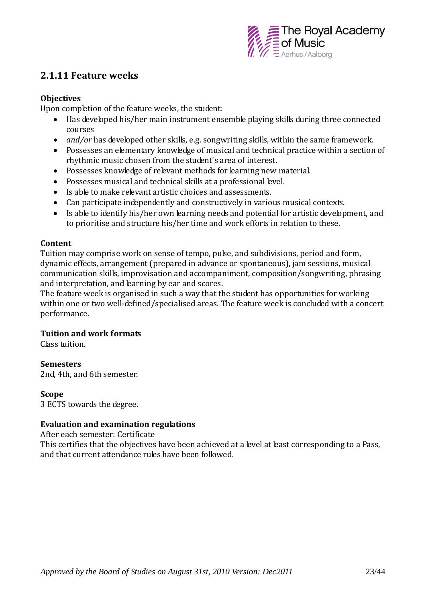

### **2.1.11 Feature weeks**

#### **Objectives**

Upon completion of the feature weeks, the student:

- Has developed his/her main instrument ensemble playing skills during three connected courses
- *and/or* has developed other skills, e.g. songwriting skills, within the same framework.
- Possesses an elementary knowledge of musical and technical practice within a section of rhythmic music chosen from the student's area of interest.
- Possesses knowledge of relevant methods for learning new material.
- Possesses musical and technical skills at a professional level.
- Is able to make relevant artistic choices and assessments.
- Can participate independently and constructively in various musical contexts.
- Is able to identify his/her own learning needs and potential for artistic development, and to prioritise and structure his/her time and work efforts in relation to these.

#### **Content**

Tuition may comprise work on sense of tempo, pulse, and subdivisions, period and form, dynamic effects, arrangement (prepared in advance or spontaneous), jam sessions, musical communication skills, improvisation and accompaniment, composition/songwriting, phrasing and interpretation, and learning by ear and scores.

The feature week is organised in such a way that the student has opportunities for working within one or two well-defined/specialised areas. The feature week is concluded with a concert performance.

#### **Tuition and work formats**

Class tuition.

#### **Semesters**

2nd, 4th, and 6th semester.

#### **Scope**

3 ECTS towards the degree.

#### **Evaluation and examination regulations**

After each semester: Certificate

This certifies that the objectives have been achieved at a level at least corresponding to a Pass, and that current attendance rules have been followed.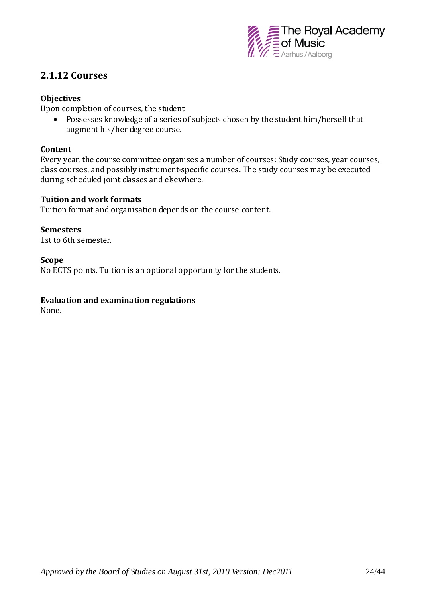

### **2.1.12 Courses**

#### **Objectives**

Upon completion of courses, the student:

 Possesses knowledge of a series of subjects chosen by the student him/herself that augment his/her degree course.

#### **Content**

Every year, the course committee organises a number of courses: Study courses, year courses, class courses, and possibly instrument-specific courses. The study courses may be executed during scheduled joint classes and elsewhere.

#### **Tuition and work formats**

Tuition format and organisation depends on the course content.

#### **Semesters**

1st to 6th semester.

#### **Scope**

No ECTS points. Tuition is an optional opportunity for the students.

#### **Evaluation and examination regulations**

None.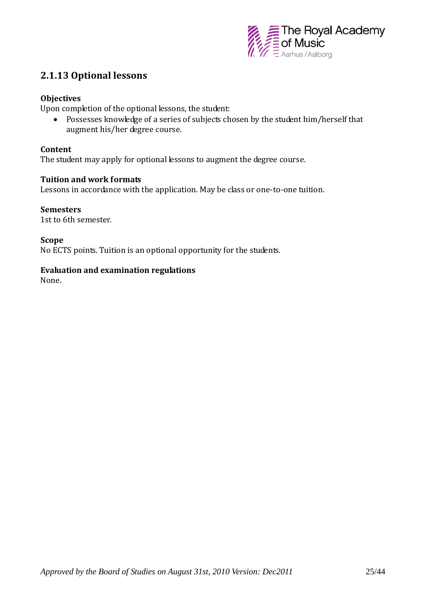

## **2.1.13 Optional lessons**

#### **Objectives**

Upon completion of the optional lessons, the student:

 Possesses knowledge of a series of subjects chosen by the student him/herself that augment his/her degree course.

#### **Content**

The student may apply for optional lessons to augment the degree course.

#### **Tuition and work formats**

Lessons in accordance with the application. May be class or one-to-one tuition.

# **Semesters**

1st to 6th semester.

#### **Scope**

No ECTS points. Tuition is an optional opportunity for the students.

#### **Evaluation and examination regulations**

None.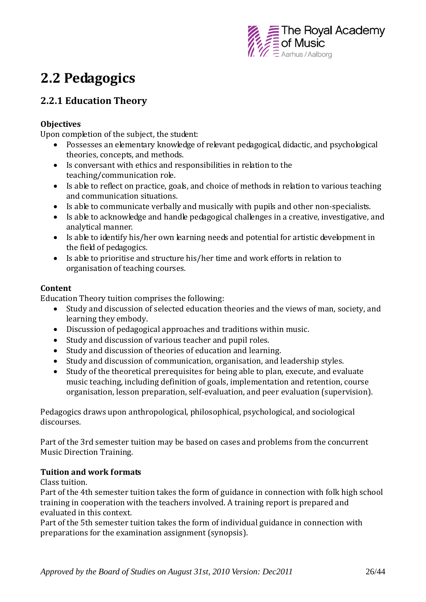

# **2.2 Pedagogics**

# **2.2.1 Education Theory**

#### **Objectives**

Upon completion of the subject, the student:

- Possesses an elementary knowledge of relevant pedagogical, didactic, and psychological theories, concepts, and methods.
- Is conversant with ethics and responsibilities in relation to the teaching/communication role.
- Is able to reflect on practice, goals, and choice of methods in relation to various teaching and communication situations.
- Is able to communicate verbally and musically with pupils and other non-specialists.
- Is able to acknowledge and handle pedagogical challenges in a creative, investigative, and analytical manner.
- Is able to identify his/her own learning needs and potential for artistic development in the field of pedagogics.
- Is able to prioritise and structure his/her time and work efforts in relation to organisation of teaching courses.

#### **Content**

Education Theory tuition comprises the following:

- Study and discussion of selected education theories and the views of man, society, and learning they embody.
- Discussion of pedagogical approaches and traditions within music.
- Study and discussion of various teacher and pupil roles.
- Study and discussion of theories of education and learning.
- Study and discussion of communication, organisation, and leadership styles.
- Study of the theoretical prerequisites for being able to plan, execute, and evaluate music teaching, including definition of goals, implementation and retention, course organisation, lesson preparation, self-evaluation, and peer evaluation (supervision).

Pedagogics draws upon anthropological, philosophical, psychological, and sociological discourses.

Part of the 3rd semester tuition may be based on cases and problems from the concurrent Music Direction Training.

#### **Tuition and work formats**

Class tuition.

Part of the 4th semester tuition takes the form of guidance in connection with folk high school training in cooperation with the teachers involved. A training report is prepared and evaluated in this context.

Part of the 5th semester tuition takes the form of individual guidance in connection with preparations for the examination assignment (synopsis).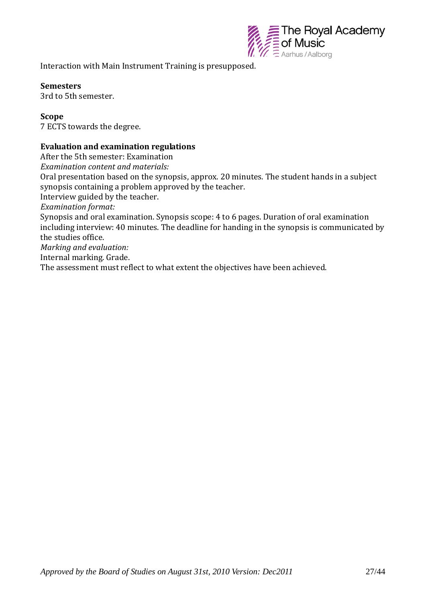

Interaction with Main Instrument Training is presupposed.

#### **Semesters**

3rd to 5th semester.

#### **Scope**

7 ECTS towards the degree.

#### **Evaluation and examination regulations**

After the 5th semester: Examination *Examination content and materials:*  Oral presentation based on the synopsis, approx. 20 minutes. The student hands in a subject synopsis containing a problem approved by the teacher. Interview guided by the teacher. *Examination format:*  Synopsis and oral examination. Synopsis scope: 4 to 6 pages. Duration of oral examination including interview: 40 minutes. The deadline for handing in the synopsis is communicated by the studies office. *Marking and evaluation:* Internal marking. Grade. The assessment must reflect to what extent the objectives have been achieved.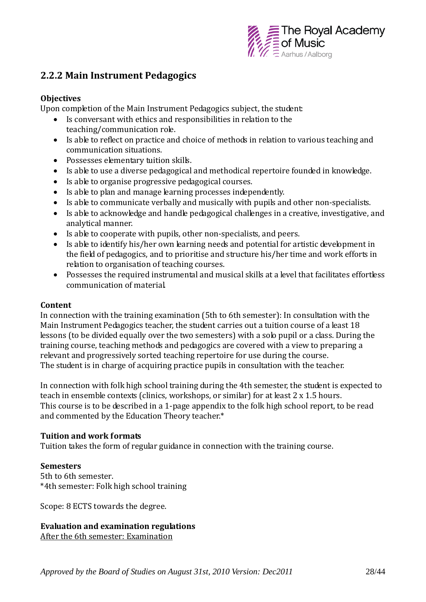

### **2.2.2 Main Instrument Pedagogics**

#### **Objectives**

Upon completion of the Main Instrument Pedagogics subject, the student:

- Is conversant with ethics and responsibilities in relation to the teaching/communication role.
- Is able to reflect on practice and choice of methods in relation to various teaching and communication situations.
- Possesses elementary tuition skills.
- Is able to use a diverse pedagogical and methodical repertoire founded in knowledge.
- Is able to organise progressive pedagogical courses.
- Is able to plan and manage learning processes independently.
- Is able to communicate verbally and musically with pupils and other non-specialists.
- Is able to acknowledge and handle pedagogical challenges in a creative, investigative, and analytical manner.
- Is able to cooperate with pupils, other non-specialists, and peers.
- Is able to identify his/her own learning needs and potential for artistic development in the field of pedagogics, and to prioritise and structure his/her time and work efforts in relation to organisation of teaching courses.
- Possesses the required instrumental and musical skills at a level that facilitates effortless communication of material.

#### **Content**

In connection with the training examination (5th to 6th semester): In consultation with the Main Instrument Pedagogics teacher, the student carries out a tuition course of a least 18 lessons (to be divided equally over the two semesters) with a solo pupil or a class. During the training course, teaching methods and pedagogics are covered with a view to preparing a relevant and progressively sorted teaching repertoire for use during the course. The student is in charge of acquiring practice pupils in consultation with the teacher.

In connection with folk high school training during the 4th semester, the student is expected to teach in ensemble contexts (clinics, workshops, or similar) for at least 2 x 1.5 hours. This course is to be described in a 1-page appendix to the folk high school report, to be read and commented by the Education Theory teacher.\*

#### **Tuition and work formats**

Tuition takes the form of regular guidance in connection with the training course.

#### **Semesters**

5th to 6th semester. \*4th semester: Folk high school training

Scope: 8 ECTS towards the degree.

#### **Evaluation and examination regulations**

After the 6th semester: Examination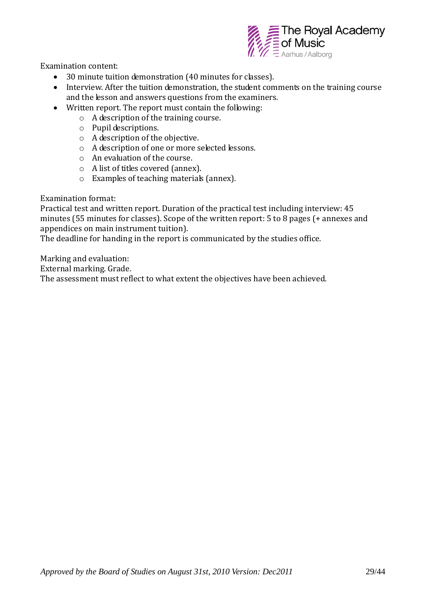

Examination content:

- 30 minute tuition demonstration (40 minutes for classes).
- Interview. After the tuition demonstration, the student comments on the training course and the lesson and answers questions from the examiners.
- Written report. The report must contain the following:
	- o A description of the training course.
	- o Pupil descriptions.
	- o A description of the objective.
	- o A description of one or more selected lessons.
	- o An evaluation of the course.
	- o A list of titles covered (annex).
	- o Examples of teaching materials (annex).

Examination format:

Practical test and written report. Duration of the practical test including interview: 45 minutes (55 minutes for classes). Scope of the written report: 5 to 8 pages (+ annexes and appendices on main instrument tuition).

The deadline for handing in the report is communicated by the studies office.

Marking and evaluation:

External marking. Grade.

The assessment must reflect to what extent the objectives have been achieved.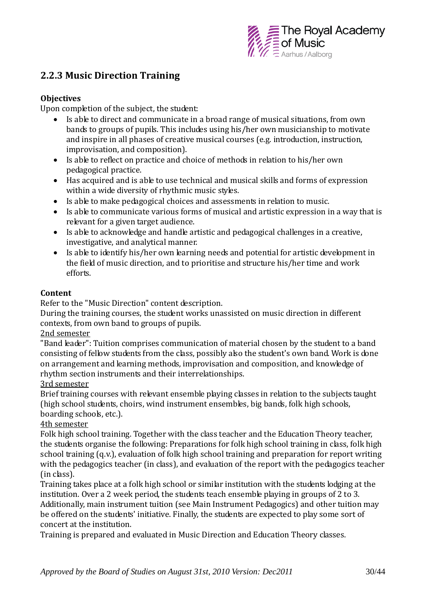

# **2.2.3 Music Direction Training**

#### **Objectives**

Upon completion of the subject, the student:

- Is able to direct and communicate in a broad range of musical situations, from own bands to groups of pupils. This includes using his/her own musicianship to motivate and inspire in all phases of creative musical courses (e.g. introduction, instruction, improvisation, and composition).
- Is able to reflect on practice and choice of methods in relation to his/her own pedagogical practice.
- Has acquired and is able to use technical and musical skills and forms of expression within a wide diversity of rhythmic music styles.
- Is able to make pedagogical choices and assessments in relation to music.
- Is able to communicate various forms of musical and artistic expression in a way that is relevant for a given target audience.
- Is able to acknowledge and handle artistic and pedagogical challenges in a creative, investigative, and analytical manner.
- Is able to identify his/her own learning needs and potential for artistic development in the field of music direction, and to prioritise and structure his/her time and work efforts.

#### **Content**

Refer to the "Music Direction" content description.

During the training courses, the student works unassisted on music direction in different contexts, from own band to groups of pupils.

#### 2nd semester

"Band leader": Tuition comprises communication of material chosen by the student to a band consisting of fellow students from the class, possibly also the student's own band. Work is done on arrangement and learning methods, improvisation and composition, and knowledge of rhythm section instruments and their interrelationships.

#### 3rd semester

Brief training courses with relevant ensemble playing classes in relation to the subjects taught (high school students, choirs, wind instrument ensembles, big bands, folk high schools, boarding schools, etc.).

#### 4th semester

Folk high school training. Together with the class teacher and the Education Theory teacher, the students organise the following: Preparations for folk high school training in class, folk high school training (q.v.), evaluation of folk high school training and preparation for report writing with the pedagogics teacher (in class), and evaluation of the report with the pedagogics teacher (in class).

Training takes place at a folk high school or similar institution with the students lodging at the institution. Over a 2 week period, the students teach ensemble playing in groups of 2 to 3. Additionally, main instrument tuition (see Main Instrument Pedagogics) and other tuition may be offered on the students' initiative. Finally, the students are expected to play some sort of concert at the institution.

Training is prepared and evaluated in Music Direction and Education Theory classes.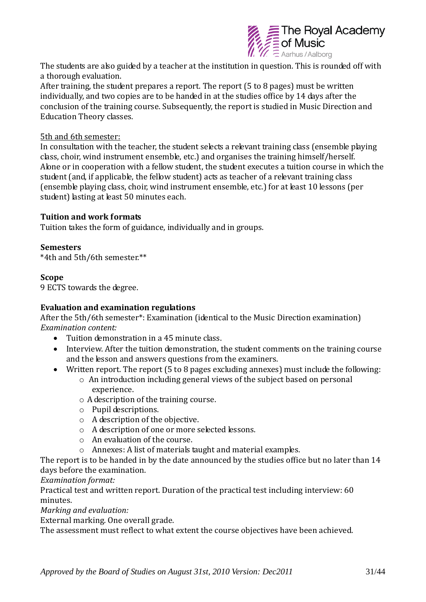

The students are also guided by a teacher at the institution in question. This is rounded off with a thorough evaluation.

After training, the student prepares a report. The report (5 to 8 pages) must be written individually, and two copies are to be handed in at the studies office by 14 days after the conclusion of the training course. Subsequently, the report is studied in Music Direction and Education Theory classes.

#### 5th and 6th semester:

In consultation with the teacher, the student selects a relevant training class (ensemble playing class, choir, wind instrument ensemble, etc.) and organises the training himself/herself. Alone or in cooperation with a fellow student, the student executes a tuition course in which the student (and, if applicable, the fellow student) acts as teacher of a relevant training class (ensemble playing class, choir, wind instrument ensemble, etc.) for at least 10 lessons (per student) lasting at least 50 minutes each.

#### **Tuition and work formats**

Tuition takes the form of guidance, individually and in groups.

#### **Semesters**

\*4th and 5th/6th semester.\*\*

#### **Scope**

9 ECTS towards the degree.

#### **Evaluation and examination regulations**

After the 5th/6th semester\*: Examination (identical to the Music Direction examination) *Examination content:*

- Tuition demonstration in a 45 minute class.
- Interview. After the tuition demonstration, the student comments on the training course and the lesson and answers questions from the examiners.
- Written report. The report (5 to 8 pages excluding annexes) must include the following:
	- o An introduction including general views of the subject based on personal experience.
	- o A description of the training course.
	- o Pupil descriptions.
	- o A description of the objective.
	- o A description of one or more selected lessons.
	- o An evaluation of the course.
	- o Annexes: A list of materials taught and material examples.

The report is to be handed in by the date announced by the studies office but no later than 14 days before the examination.

*Examination format:*

Practical test and written report. Duration of the practical test including interview: 60 minutes.

*Marking and evaluation:* 

External marking. One overall grade.

The assessment must reflect to what extent the course objectives have been achieved.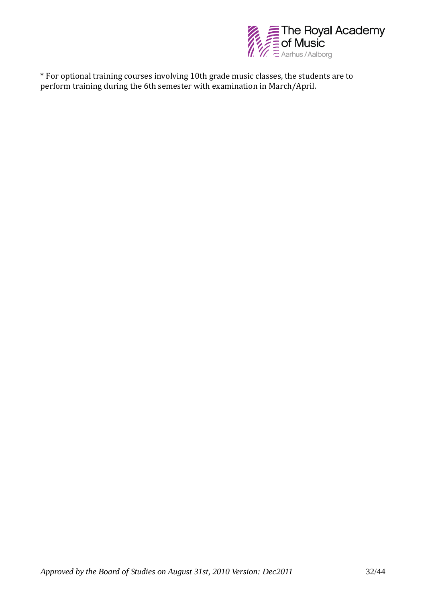

\* For optional training courses involving 10th grade music classes, the students are to perform training during the 6th semester with examination in March/April.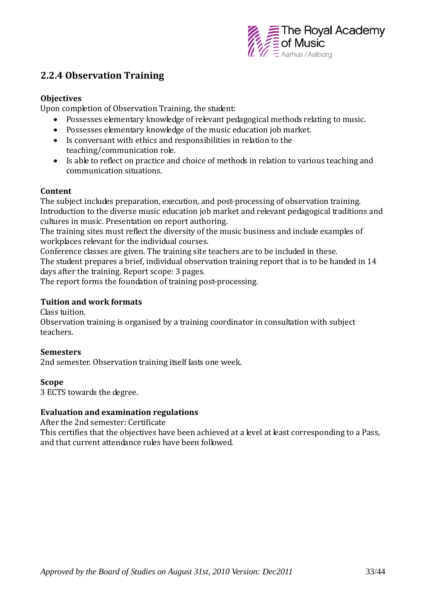

## **2.2.4 Observation Training**

#### **Objectives**

Upon completion of Observation Training, the student:

- Possesses elementary knowledge of relevant pedagogical methods relating to music.
- Possesses elementary knowledge of the music education job market.
- Is conversant with ethics and responsibilities in relation to the teaching/communication role.
- Is able to reflect on practice and choice of methods in relation to various teaching and communication situations.

#### **Content**

The subject includes preparation, execution, and post-processing of observation training. Introduction to the diverse music education job market and relevant pedagogical traditions and cultures in music. Presentation on report authoring.

The training sites must reflect the diversity of the music business and include examples of workplaces relevant for the individual courses.

Conference classes are given. The training site teachers are to be included in these. The student prepares a brief, individual observation training report that is to be handed in 14 days after the training. Report scope: 3 pages.

The report forms the foundation of training post-processing.

#### **Tuition and work formats**

Class tuition

Observation training is organised by a training coordinator in consultation with subject teachers.

#### **Semesters**

2nd semester. Observation training itself lasts one week.

#### **Scope**

3 ECTS towards the degree.

#### **Evaluation and examination regulations**

After the 2nd semester: Certificate

This certifies that the objectives have been achieved at a level at least corresponding to a Pass, and that current attendance rules have been followed.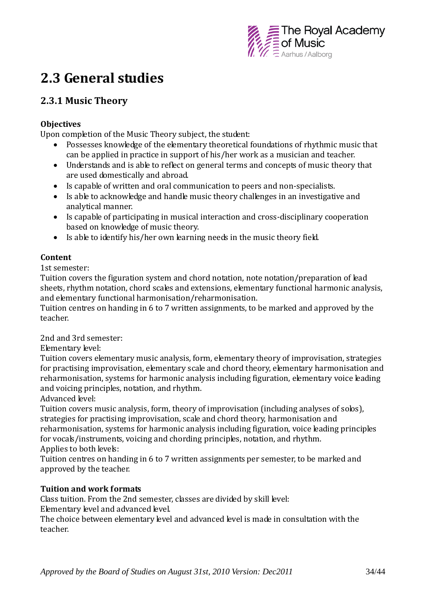

# **2.3 General studies**

# **2.3.1 Music Theory**

#### **Objectives**

Upon completion of the Music Theory subject, the student:

- Possesses knowledge of the elementary theoretical foundations of rhythmic music that can be applied in practice in support of his/her work as a musician and teacher.
- Understands and is able to reflect on general terms and concepts of music theory that are used domestically and abroad.
- Is capable of written and oral communication to peers and non-specialists.
- Is able to acknowledge and handle music theory challenges in an investigative and analytical manner.
- Is capable of participating in musical interaction and cross-disciplinary cooperation based on knowledge of music theory.
- Is able to identify his/her own learning needs in the music theory field.

#### **Content**

1st semester:

Tuition covers the figuration system and chord notation, note notation/preparation of lead sheets, rhythm notation, chord scales and extensions, elementary functional harmonic analysis, and elementary functional harmonisation/reharmonisation.

Tuition centres on handing in 6 to 7 written assignments, to be marked and approved by the teacher.

2nd and 3rd semester:

Elementary level:

Tuition covers elementary music analysis, form, elementary theory of improvisation, strategies for practising improvisation, elementary scale and chord theory, elementary harmonisation and reharmonisation, systems for harmonic analysis including figuration, elementary voice leading and voicing principles, notation, and rhythm.

Advanced level:

Tuition covers music analysis, form, theory of improvisation (including analyses of solos), strategies for practising improvisation, scale and chord theory, harmonisation and reharmonisation, systems for harmonic analysis including figuration, voice leading principles for vocals/instruments, voicing and chording principles, notation, and rhythm. Applies to both levels:

Tuition centres on handing in 6 to 7 written assignments per semester, to be marked and approved by the teacher.

### **Tuition and work formats**

Class tuition. From the 2nd semester, classes are divided by skill level: Elementary level and advanced level.

The choice between elementary level and advanced level is made in consultation with the teacher.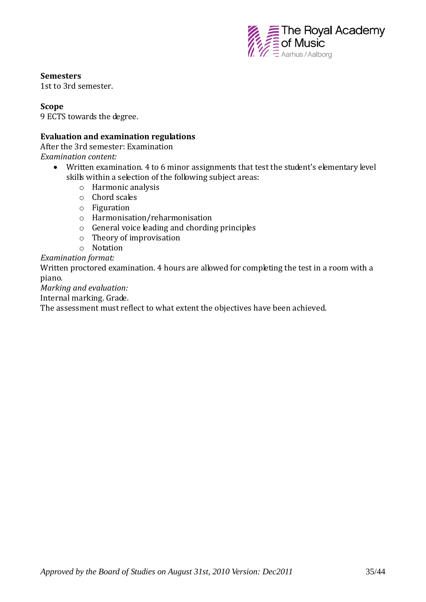

#### **Semesters**

1st to 3rd semester.

#### **Scope**

9 ECTS towards the degree.

#### **Evaluation and examination regulations**

After the 3rd semester: Examination

*Examination content:*

- Written examination. 4 to 6 minor assignments that test the student's elementary level skills within a selection of the following subject areas:
	- o Harmonic analysis
	- o Chord scales
	- o Figuration
	- o Harmonisation/reharmonisation
	- o General voice leading and chording principles
	- o Theory of improvisation
	- o Notation

*Examination format:*

Written proctored examination. 4 hours are allowed for completing the test in a room with a piano.

*Marking and evaluation:* 

Internal marking. Grade.

The assessment must reflect to what extent the objectives have been achieved.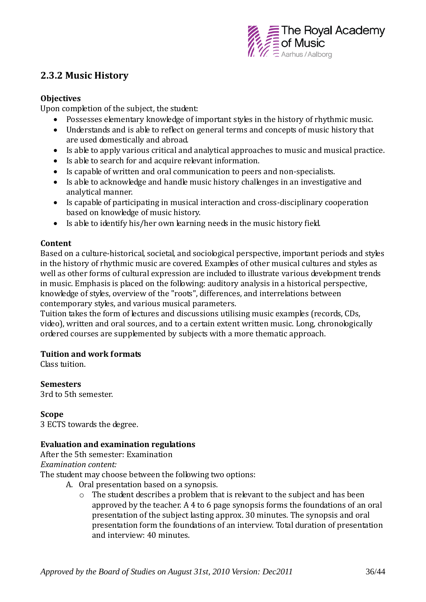

## **2.3.2 Music History**

#### **Objectives**

Upon completion of the subject, the student:

- Possesses elementary knowledge of important styles in the history of rhythmic music.
- Understands and is able to reflect on general terms and concepts of music history that are used domestically and abroad.
- Is able to apply various critical and analytical approaches to music and musical practice.
- Is able to search for and acquire relevant information.
- Is capable of written and oral communication to peers and non-specialists.
- Is able to acknowledge and handle music history challenges in an investigative and analytical manner.
- Is capable of participating in musical interaction and cross-disciplinary cooperation based on knowledge of music history.
- Is able to identify his/her own learning needs in the music history field.

#### **Content**

Based on a culture-historical, societal, and sociological perspective, important periods and styles in the history of rhythmic music are covered. Examples of other musical cultures and styles as well as other forms of cultural expression are included to illustrate various development trends in music. Emphasis is placed on the following: auditory analysis in a historical perspective, knowledge of styles, overview of the "roots", differences, and interrelations between contemporary styles, and various musical parameters.

Tuition takes the form of lectures and discussions utilising music examples (records, CDs, video), written and oral sources, and to a certain extent written music. Long, chronologically ordered courses are supplemented by subjects with a more thematic approach.

#### **Tuition and work formats**

Class tuition.

**Semesters** 3rd to 5th semester.

#### **Scope**

3 ECTS towards the degree.

#### **Evaluation and examination regulations**

After the 5th semester: Examination *Examination content:* 

The student may choose between the following two options:

- A. Oral presentation based on a synopsis.
	- o The student describes a problem that is relevant to the subject and has been approved by the teacher. A 4 to 6 page synopsis forms the foundations of an oral presentation of the subject lasting approx. 30 minutes. The synopsis and oral presentation form the foundations of an interview. Total duration of presentation and interview: 40 minutes.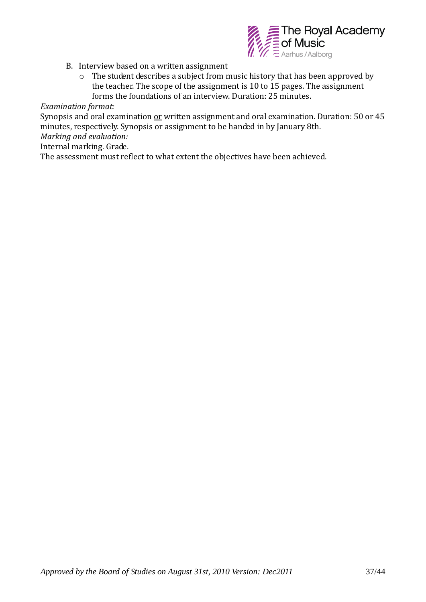

- B. Interview based on a written assignment
	- o The student describes a subject from music history that has been approved by the teacher. The scope of the assignment is 10 to 15 pages. The assignment forms the foundations of an interview. Duration: 25 minutes.

*Examination format:* 

Synopsis and oral examination or written assignment and oral examination. Duration: 50 or 45 minutes, respectively. Synopsis or assignment to be handed in by January 8th.

*Marking and evaluation:* 

Internal marking. Grade.

The assessment must reflect to what extent the objectives have been achieved.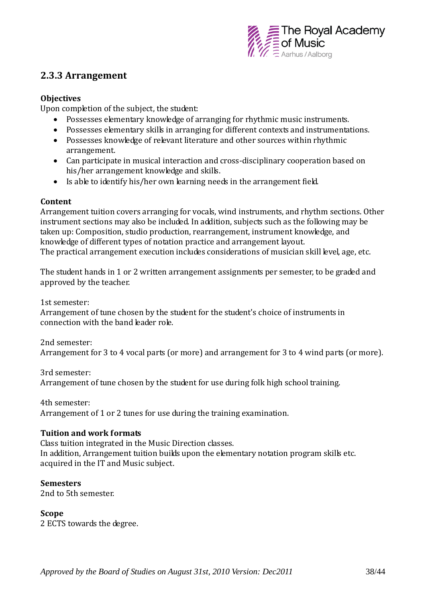

### **2.3.3 Arrangement**

#### **Objectives**

Upon completion of the subject, the student:

- Possesses elementary knowledge of arranging for rhythmic music instruments.
- Possesses elementary skills in arranging for different contexts and instrumentations.
- Possesses knowledge of relevant literature and other sources within rhythmic arrangement.
- Can participate in musical interaction and cross-disciplinary cooperation based on his/her arrangement knowledge and skills.
- Is able to identify his/her own learning needs in the arrangement field.

#### **Content**

Arrangement tuition covers arranging for vocals, wind instruments, and rhythm sections. Other instrument sections may also be included. In addition, subjects such as the following may be taken up: Composition, studio production, rearrangement, instrument knowledge, and knowledge of different types of notation practice and arrangement layout. The practical arrangement execution includes considerations of musician skill level, age, etc.

The student hands in 1 or 2 written arrangement assignments per semester, to be graded and approved by the teacher.

1st semester:

Arrangement of tune chosen by the student for the student's choice of instruments in connection with the band leader role.

2nd semester: Arrangement for 3 to 4 vocal parts (or more) and arrangement for 3 to 4 wind parts (or more).

3rd semester: Arrangement of tune chosen by the student for use during folk high school training.

4th semester:

Arrangement of 1 or 2 tunes for use during the training examination.

#### **Tuition and work formats**

Class tuition integrated in the Music Direction classes. In addition, Arrangement tuition builds upon the elementary notation program skills etc. acquired in the IT and Music subject.

#### **Semesters**

2nd to 5th semester.

#### **Scope**

2 ECTS towards the degree.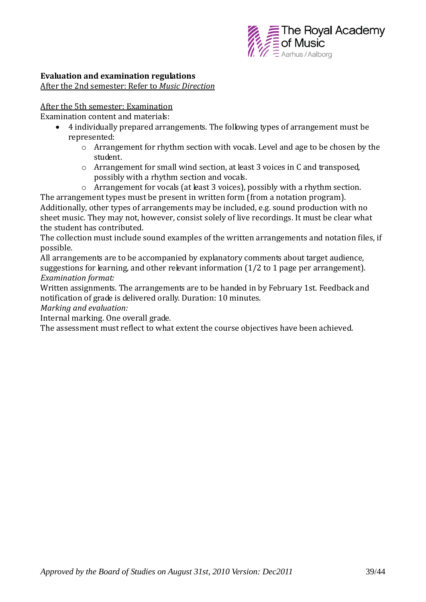

#### **Evaluation and examination regulations**

After the 2nd semester: Refer to *Music Direction*

#### After the 5th semester: Examination

Examination content and materials:

- 4 individually prepared arrangements. The following types of arrangement must be represented:
	- o Arrangement for rhythm section with vocals. Level and age to be chosen by the student.
	- o Arrangement for small wind section, at least 3 voices in C and transposed, possibly with a rhythm section and vocals.

o Arrangement for vocals (at least 3 voices), possibly with a rhythm section. The arrangement types must be present in written form (from a notation program). Additionally, other types of arrangements may be included, e.g. sound production with no sheet music. They may not, however, consist solely of live recordings. It must be clear what the student has contributed.

The collection must include sound examples of the written arrangements and notation files, if possible.

All arrangements are to be accompanied by explanatory comments about target audience, suggestions for learning, and other relevant information (1/2 to 1 page per arrangement). *Examination format:* 

Written assignments. The arrangements are to be handed in by February 1st. Feedback and notification of grade is delivered orally. Duration: 10 minutes.

*Marking and evaluation:*

Internal marking. One overall grade.

The assessment must reflect to what extent the course objectives have been achieved.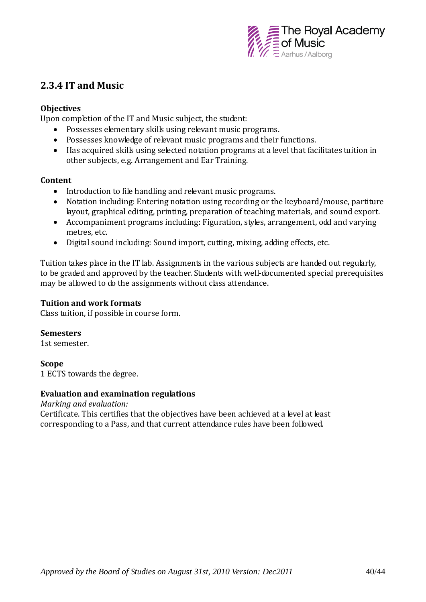

### **2.3.4 IT and Music**

#### **Objectives**

Upon completion of the IT and Music subject, the student:

- Possesses elementary skills using relevant music programs.
- Possesses knowledge of relevant music programs and their functions.
- Has acquired skills using selected notation programs at a level that facilitates tuition in other subjects, e.g. Arrangement and Ear Training.

#### **Content**

- Introduction to file handling and relevant music programs.
- Notation including: Entering notation using recording or the keyboard/mouse, partiture layout, graphical editing, printing, preparation of teaching materials, and sound export.
- Accompaniment programs including: Figuration, styles, arrangement, odd and varying metres, etc.
- Digital sound including: Sound import, cutting, mixing, adding effects, etc.

Tuition takes place in the IT lab. Assignments in the various subjects are handed out regularly, to be graded and approved by the teacher. Students with well-documented special prerequisites may be allowed to do the assignments without class attendance.

#### **Tuition and work formats**

Class tuition, if possible in course form.

#### **Semesters**

1st semester.

#### **Scope**

1 ECTS towards the degree.

#### **Evaluation and examination regulations**

*Marking and evaluation:* 

Certificate. This certifies that the objectives have been achieved at a level at least corresponding to a Pass, and that current attendance rules have been followed.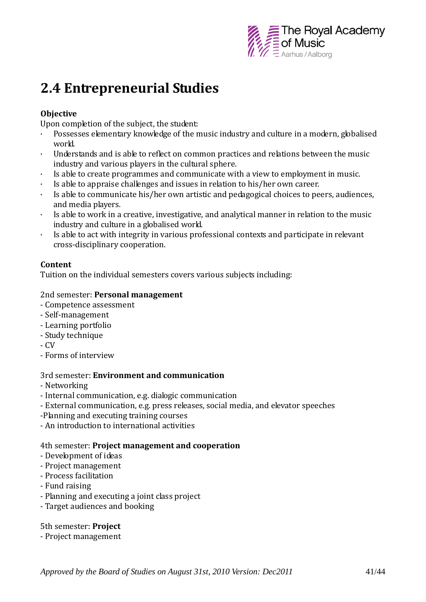

# **2.4 Entrepreneurial Studies**

#### **Objective**

Upon completion of the subject, the student:

- · Possesses elementary knowledge of the music industry and culture in a modern, globalised world.
- · Understands and is able to reflect on common practices and relations between the music industry and various players in the cultural sphere.
- · Is able to create programmes and communicate with a view to employment in music.
- Is able to appraise challenges and issues in relation to his/her own career.
- · Is able to communicate his/her own artistic and pedagogical choices to peers, audiences, and media players.
- · Is able to work in a creative, investigative, and analytical manner in relation to the music industry and culture in a globalised world.
- · Is able to act with integrity in various professional contexts and participate in relevant cross-disciplinary cooperation.

#### **Content**

Tuition on the individual semesters covers various subjects including:

#### 2nd semester: **Personal management**

- Competence assessment
- Self-management
- Learning portfolio
- Study technique
- CV
- Forms of interview

#### 3rd semester: **Environment and communication**

- Networking
- Internal communication, e.g. dialogic communication
- External communication, e.g. press releases, social media, and elevator speeches
- -Planning and executing training courses
- An introduction to international activities

#### 4th semester: **Project management and cooperation**

- Development of ideas
- Project management
- Process facilitation
- Fund raising
- Planning and executing a joint class project
- Target audiences and booking

#### 5th semester: **Project**

- Project management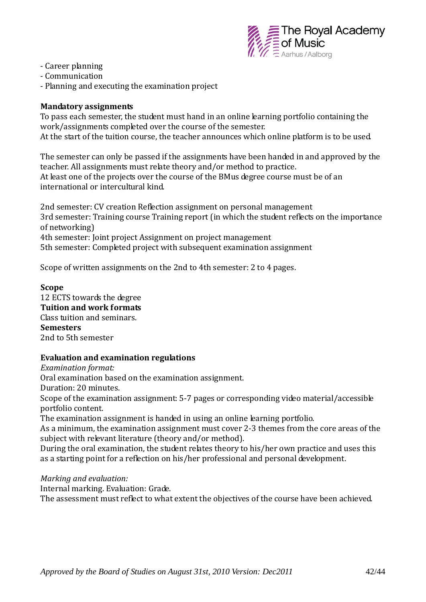

- Career planning
- Communication
- Planning and executing the examination project

#### **Mandatory assignments**

To pass each semester, the student must hand in an online learning portfolio containing the work/assignments completed over the course of the semester. At the start of the tuition course, the teacher announces which online platform is to be used.

The semester can only be passed if the assignments have been handed in and approved by the teacher. All assignments must relate theory and/or method to practice. At least one of the projects over the course of the BMus degree course must be of an international or intercultural kind.

2nd semester: CV creation Reflection assignment on personal management 3rd semester: Training course Training report (in which the student reflects on the importance of networking) 4th semester: Joint project Assignment on project management 5th semester: Completed project with subsequent examination assignment

Scope of written assignments on the 2nd to 4th semester: 2 to 4 pages.

#### **Scope**

12 ECTS towards the degree **Tuition and work formats** Class tuition and seminars. **Semesters** 2nd to 5th semester

#### **Evaluation and examination regulations**

*Examination format:*

Oral examination based on the examination assignment.

Duration: 20 minutes.

Scope of the examination assignment: 5-7 pages or corresponding video material/accessible portfolio content.

The examination assignment is handed in using an online learning portfolio.

As a minimum, the examination assignment must cover 2-3 themes from the core areas of the subject with relevant literature (theory and/or method).

During the oral examination, the student relates theory to his/her own practice and uses this as a starting point for a reflection on his/her professional and personal development.

*Marking and evaluation:*

Internal marking. Evaluation: Grade.

The assessment must reflect to what extent the objectives of the course have been achieved.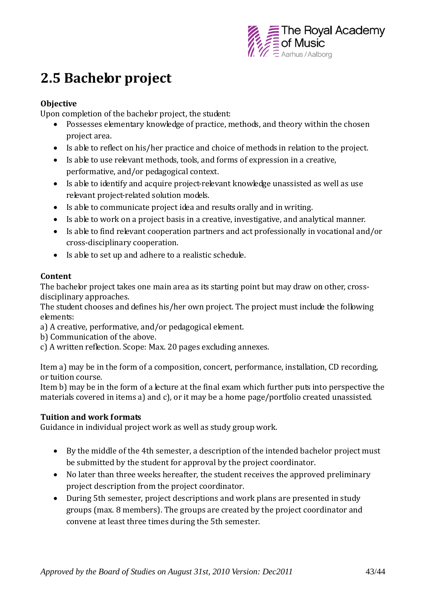

# **2.5 Bachelor project**

#### **Objective**

Upon completion of the bachelor project, the student:

- Possesses elementary knowledge of practice, methods, and theory within the chosen project area.
- Is able to reflect on his/her practice and choice of methods in relation to the project.
- Is able to use relevant methods, tools, and forms of expression in a creative, performative, and/or pedagogical context.
- Is able to identify and acquire project-relevant knowledge unassisted as well as use relevant project-related solution models.
- Is able to communicate project idea and results orally and in writing.
- Is able to work on a project basis in a creative, investigative, and analytical manner.
- Is able to find relevant cooperation partners and act professionally in vocational and/or cross-disciplinary cooperation.
- Is able to set up and adhere to a realistic schedule.

#### **Content**

The bachelor project takes one main area as its starting point but may draw on other, crossdisciplinary approaches.

The student chooses and defines his/her own project. The project must include the following elements:

- a) A creative, performative, and/or pedagogical element.
- b) Communication of the above.
- c) A written reflection. Scope: Max. 20 pages excluding annexes.

Item a) may be in the form of a composition, concert, performance, installation, CD recording, or tuition course.

Item b) may be in the form of a lecture at the final exam which further puts into perspective the materials covered in items a) and c), or it may be a home page/portfolio created unassisted.

#### **Tuition and work formats**

Guidance in individual project work as well as study group work.

- By the middle of the 4th semester, a description of the intended bachelor project must be submitted by the student for approval by the project coordinator.
- No later than three weeks hereafter, the student receives the approved preliminary project description from the project coordinator.
- During 5th semester, project descriptions and work plans are presented in study groups (max. 8 members). The groups are created by the project coordinator and convene at least three times during the 5th semester.